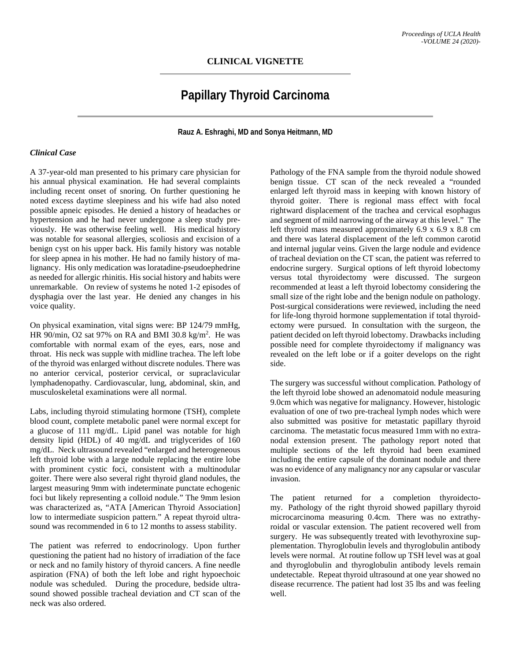# **Papillary Thyroid Carcinoma**

**Rauz A. Eshraghi, MD and Sonya Heitmann, MD**

## *Clinical Case*

A 37-year-old man presented to his primary care physician for his annual physical examination. He had several complaints including recent onset of snoring. On further questioning he noted excess daytime sleepiness and his wife had also noted possible apneic episodes. He denied a history of headaches or hypertension and he had never undergone a sleep study previously. He was otherwise feeling well. His medical history was notable for seasonal allergies, scoliosis and excision of a benign cyst on his upper back. His family history was notable for sleep apnea in his mother. He had no family history of malignancy. His only medication was loratadine-pseudoephedrine as needed for allergic rhinitis. His social history and habits were unremarkable. On review of systems he noted 1-2 episodes of dysphagia over the last year. He denied any changes in his voice quality.

On physical examination, vital signs were: BP 124/79 mmHg, HR 90/min, O2 sat 97% on RA and BMI 30.8  $\text{kg/m}^2$ . He was comfortable with normal exam of the eyes, ears, nose and throat. His neck was supple with midline trachea. The left lobe of the thyroid was enlarged without discrete nodules. There was no anterior cervical, posterior cervical, or supraclavicular lymphadenopathy. Cardiovascular, lung, abdominal, skin, and musculoskeletal examinations were all normal.

Labs, including thyroid stimulating hormone (TSH), complete blood count, complete metabolic panel were normal except for a glucose of 111 mg/dL. Lipid panel was notable for high density lipid (HDL) of 40 mg/dL and triglycerides of 160 mg/dL. Neck ultrasound revealed "enlarged and heterogeneous left thyroid lobe with a large nodule replacing the entire lobe with prominent cystic foci, consistent with a multinodular goiter. There were also several right thyroid gland nodules, the largest measuring 9mm with indeterminate punctate echogenic foci but likely representing a colloid nodule." The 9mm lesion was characterized as, "ATA [American Thyroid Association] low to intermediate suspicion pattern." A repeat thyroid ultrasound was recommended in 6 to 12 months to assess stability.

The patient was referred to endocrinology. Upon further questioning the patient had no history of irradiation of the face or neck and no family history of thyroid cancers. A fine needle aspiration (FNA) of both the left lobe and right hypoechoic nodule was scheduled. During the procedure, bedside ultrasound showed possible tracheal deviation and CT scan of the neck was also ordered.

Pathology of the FNA sample from the thyroid nodule showed benign tissue. CT scan of the neck revealed a "rounded enlarged left thyroid mass in keeping with known history of thyroid goiter. There is regional mass effect with focal rightward displacement of the trachea and cervical esophagus and segment of mild narrowing of the airway at this level." The left thyroid mass measured approximately 6.9 x 6.9 x 8.8 cm and there was lateral displacement of the left common carotid and internal jugular veins. Given the large nodule and evidence of tracheal deviation on the CT scan, the patient was referred to endocrine surgery. Surgical options of left thyroid lobectomy versus total thyroidectomy were discussed. The surgeon recommended at least a left thyroid lobectomy considering the small size of the right lobe and the benign nodule on pathology. Post-surgical considerations were reviewed, including the need for life-long thyroid hormone supplementation if total thyroidectomy were pursued. In consultation with the surgeon, the patient decided on left thyroid lobectomy. Drawbacks including possible need for complete thyroidectomy if malignancy was revealed on the left lobe or if a goiter develops on the right side.

The surgery was successful without complication. Pathology of the left thyroid lobe showed an adenomatoid nodule measuring 9.0cm which was negative for malignancy. However, histologic evaluation of one of two pre-tracheal lymph nodes which were also submitted was positive for metastatic papillary thyroid carcinoma. The metastatic focus measured 1mm with no extranodal extension present. The pathology report noted that multiple sections of the left thyroid had been examined including the entire capsule of the dominant nodule and there was no evidence of any malignancy nor any capsular or vascular invasion.

The patient returned for a completion thyroidectomy. Pathology of the right thyroid showed papillary thyroid microcarcinoma measuring 0.4cm. There was no extrathyroidal or vascular extension. The patient recovered well from surgery. He was subsequently treated with levothyroxine supplementation. Thyroglobulin levels and thyroglobulin antibody levels were normal. At routine follow up TSH level was at goal and thyroglobulin and thyroglobulin antibody levels remain undetectable. Repeat thyroid ultrasound at one year showed no disease recurrence. The patient had lost 35 lbs and was feeling well.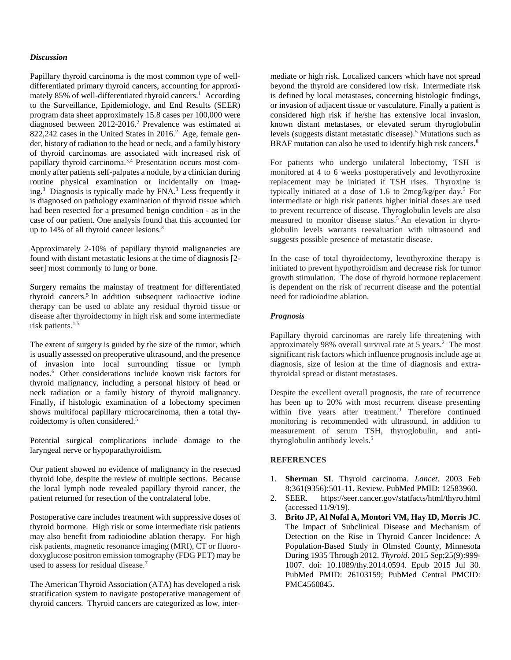## *Discussion*

Papillary thyroid carcinoma is the most common type of welldifferentiated primary thyroid cancers, accounting for approximately 85% of well-differentiated thyroid cancers.<sup>1</sup> According to the Surveillance, Epidemiology, and End Results (SEER) program data sheet approximately 15.8 cases per 100,000 were diagnosed between 2012-2016.<sup>2</sup> Prevalence was estimated at 822,242 cases in the United States in 2016.<sup>2</sup> Age, female gender, history of radiation to the head or neck, and a family history of thyroid carcinomas are associated with increased risk of papillary thyroid carcinoma.<sup>3,4</sup> Presentation occurs most commonly after patients self-palpates a nodule, by a clinician during routine physical examination or incidentally on imaging.3 Diagnosis is typically made by FNA. <sup>3</sup> Less frequently it is diagnosed on pathology examination of thyroid tissue which had been resected for a presumed benign condition - as in the case of our patient. One analysis found that this accounted for up to  $14\%$  of all thyroid cancer lesions.<sup>3</sup>

Approximately 2-10% of papillary thyroid malignancies are found with distant metastatic lesions at the time of diagnosis [2 seer] most commonly to lung or bone.

Surgery remains the mainstay of treatment for differentiated thyroid cancers.5 In addition subsequent radioactive iodine therapy can be used to ablate any residual thyroid tissue or disease after thyroidectomy in high risk and some intermediate risk patients. $1,5$ 

The extent of surgery is guided by the size of the tumor, which is usually assessed on preoperative ultrasound, and the presence of invasion into local surrounding tissue or lymph nodes.6 Other considerations include known risk factors for thyroid malignancy, including a personal history of head or neck radiation or a family history of thyroid malignancy. Finally, if histologic examination of a lobectomy specimen shows multifocal papillary microcarcinoma, then a total thyroidectomy is often considered.5

Potential surgical complications include damage to the laryngeal nerve or hypoparathyroidism.

Our patient showed no evidence of malignancy in the resected thyroid lobe, despite the review of multiple sections. Because the local lymph node revealed papillary thyroid cancer, the patient returned for resection of the contralateral lobe.

Postoperative care includes treatment with suppressive doses of thyroid hormone. High risk or some intermediate risk patients may also benefit from radioiodine ablation therapy. For high risk patients, magnetic resonance imaging (MRI), CT or fluorodoxyglucose positron emission tomography (FDG PET) may be used to assess for residual disease.<sup>7</sup>

The American Thyroid Association (ATA) has developed a risk stratification system to navigate postoperative management of thyroid cancers. Thyroid cancers are categorized as low, inter-

mediate or high risk. Localized cancers which have not spread beyond the thyroid are considered low risk. Intermediate risk is defined by local metastases, concerning histologic findings, or invasion of adjacent tissue or vasculature. Finally a patient is considered high risk if he/she has extensive local invasion, known distant metastases, or elevated serum thyroglobulin levels (suggests distant metastatic disease).5 Mutations such as BRAF mutation can also be used to identify high risk cancers.<sup>8</sup>

For patients who undergo unilateral lobectomy, TSH is monitored at 4 to 6 weeks postoperatively and levothyroxine replacement may be initiated if TSH rises. Thyroxine is typically initiated at a dose of 1.6 to 2mcg/kg/per day. <sup>5</sup> For intermediate or high risk patients higher initial doses are used to prevent recurrence of disease. Thyroglobulin levels are also measured to monitor disease status.5 An elevation in thyroglobulin levels warrants reevaluation with ultrasound and suggests possible presence of metastatic disease.

In the case of total thyroidectomy, levothyroxine therapy is initiated to prevent hypothyroidism and decrease risk for tumor growth stimulation. The dose of thyroid hormone replacement is dependent on the risk of recurrent disease and the potential need for radioiodine ablation.

### *Prognosis*

Papillary thyroid carcinomas are rarely life threatening with approximately 98% overall survival rate at 5 years.<sup>2</sup> The most significant risk factors which influence prognosis include age at diagnosis, size of lesion at the time of diagnosis and extrathyroidal spread or distant metastases.

Despite the excellent overall prognosis, the rate of recurrence has been up to 20% with most recurrent disease presenting within five years after treatment.<sup>9</sup> Therefore continued monitoring is recommended with ultrasound, in addition to measurement of serum TSH, thyroglobulin, and antithyroglobulin antibody levels.<sup>5</sup>

#### **REFERENCES**

- 1. **Sherman SI**. Thyroid carcinoma. *Lancet*. 2003 Feb 8;361(9356):501-11. Review. PubMed PMID: 12583960.
- 2. SEER. https://seer.cancer.gov/statfacts/html/thyro.html (accessed 11/9/19).
- 3. **Brito JP, Al Nofal A, Montori VM, Hay ID, Morris JC**. The Impact of Subclinical Disease and Mechanism of Detection on the Rise in Thyroid Cancer Incidence: A Population-Based Study in Olmsted County, Minnesota During 1935 Through 2012. *Thyroid*. 2015 Sep;25(9):999- 1007. doi: 10.1089/thy.2014.0594. Epub 2015 Jul 30. PubMed PMID: 26103159; PubMed Central PMCID: PMC4560845.